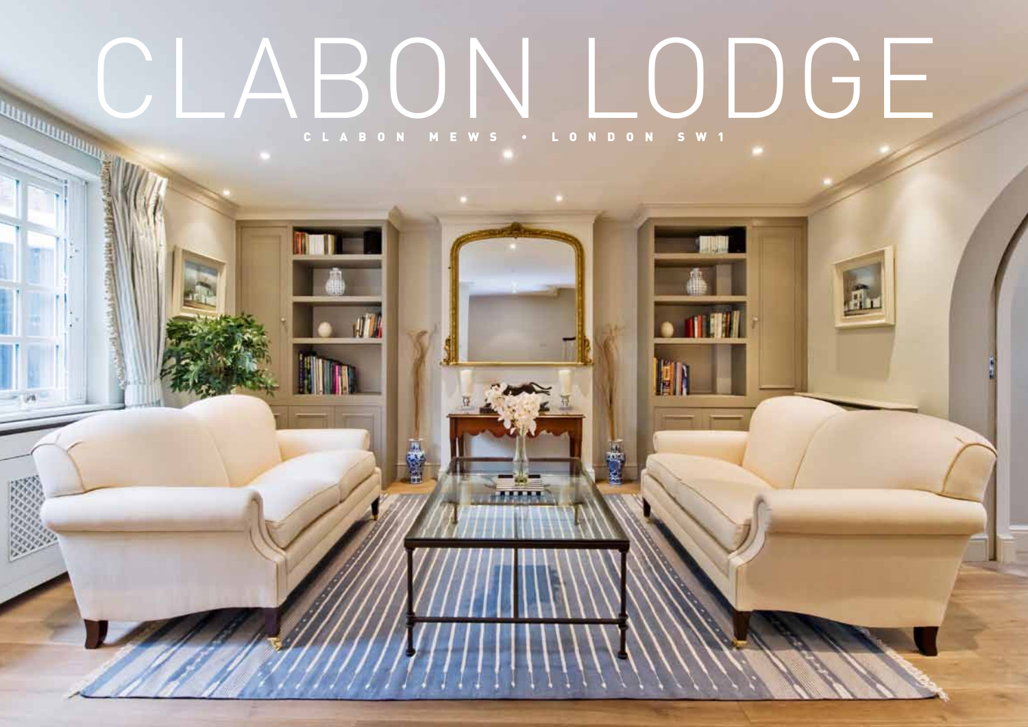# CIABON LODGE CLABON MEWS . LONDON SW1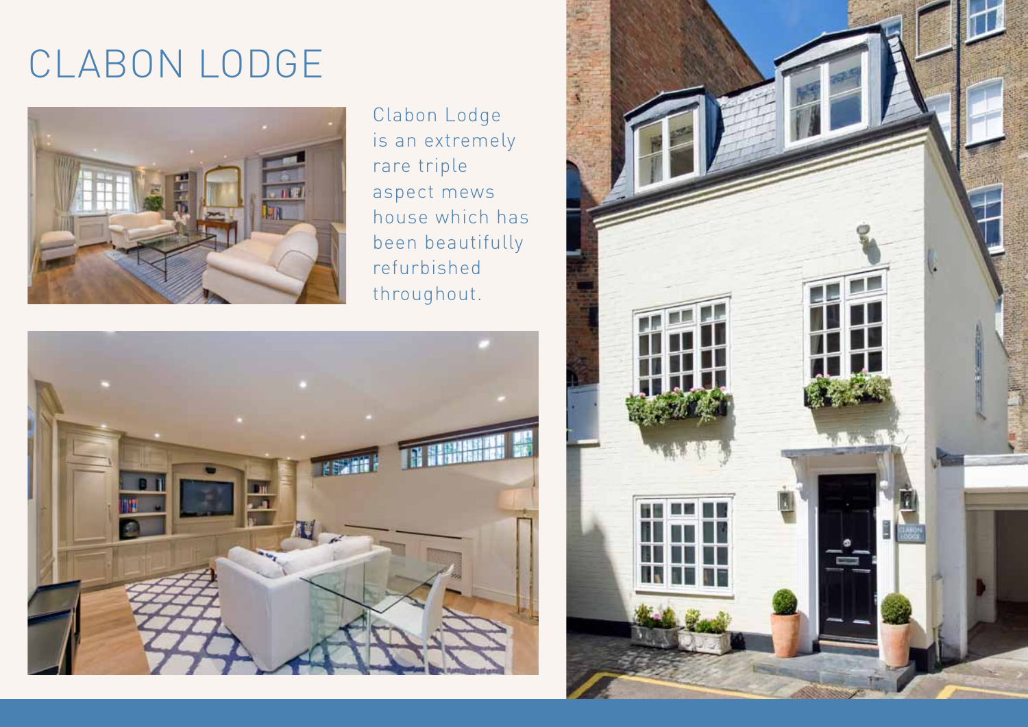# CLABON LODGE



Clabon Lodge is an extremely rare triple aspect mews house which has been beautifully refurbished throughout.



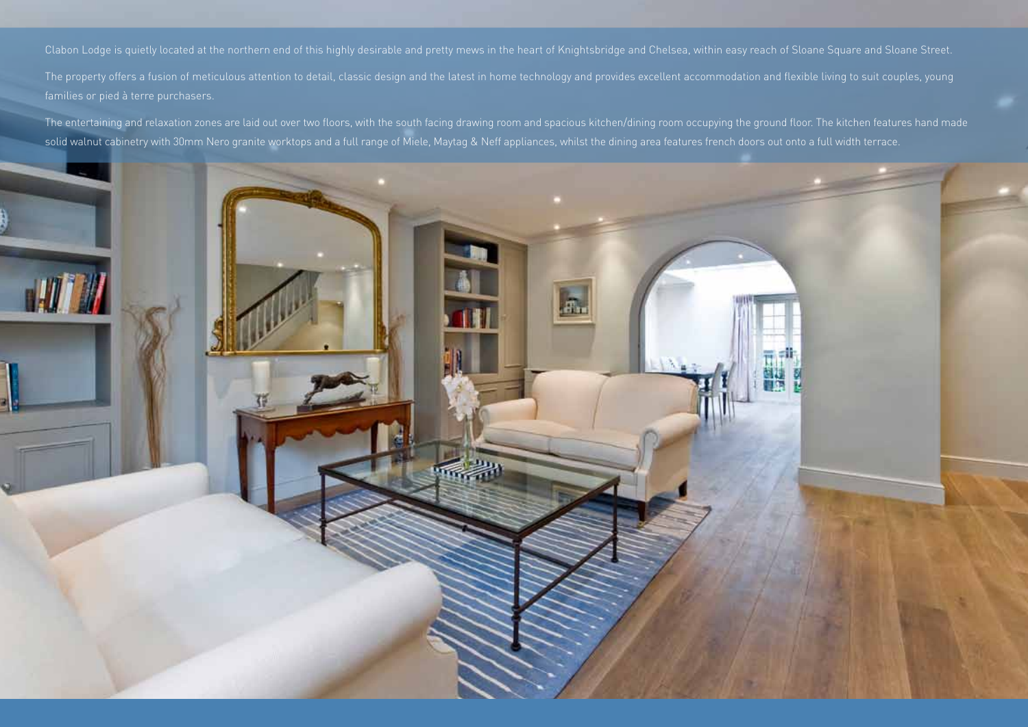The entertaining and relaxation zones are laid out over two floors, with the south facing drawing room and spacious kitchen/dining room occupying the ground floor. The kitchen features hand made solid walnut cabinetry with 30mm Nero granite worktops and a full range of Miele, Maytag & Neff appliances, whilst the dining area features french doors out onto a full width terrace.

輩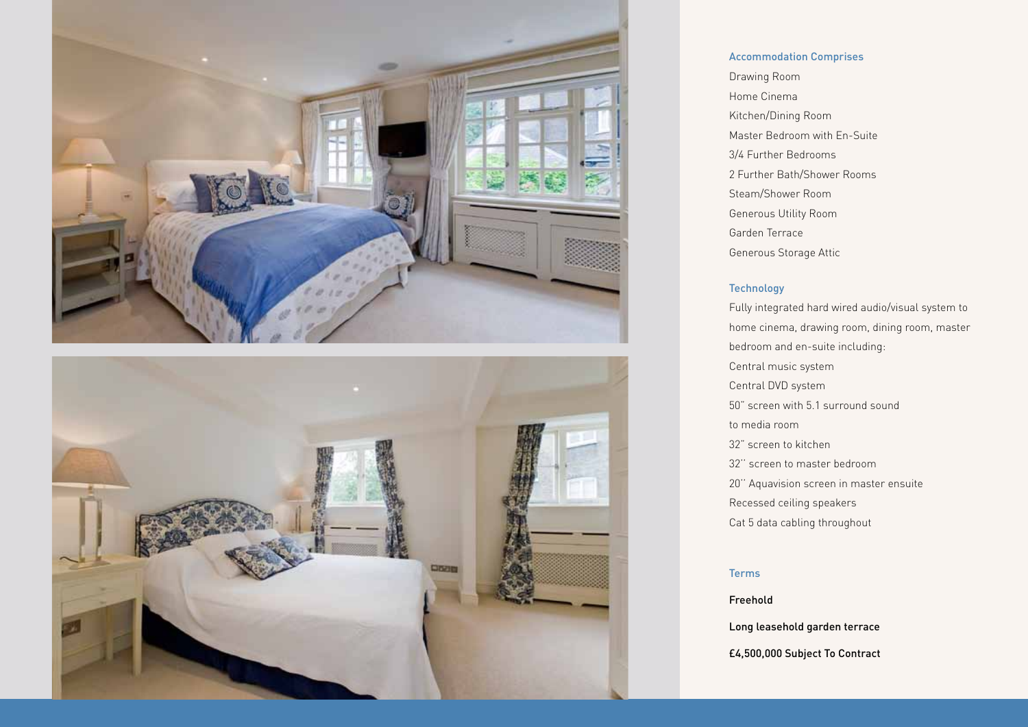



## Accommodation Comprises

Drawing Room Home Cinema Kitchen/Dining Room Master Bedroom with En-Suite 3/4 Further Bedrooms 2 Further Bath/Shower Rooms Steam/Shower Room Generous Utility Room Garden Terrace Generous Storage Attic

### Technology

Fully integrated hard wired audio/visual system to home cinema, drawing room, dining room, master bedroom and en-suite including: Central music system Central DVD system 50" screen with 5.1 surround sound to media room 32" screen to kitchen 32'' screen to master bedroom 20'' Aquavision screen in master ensuite Recessed ceiling speakers Cat 5 data cabling throughout

### Terms

Freehold

Long leasehold garden terrace

£4,500,000 Subject To Contract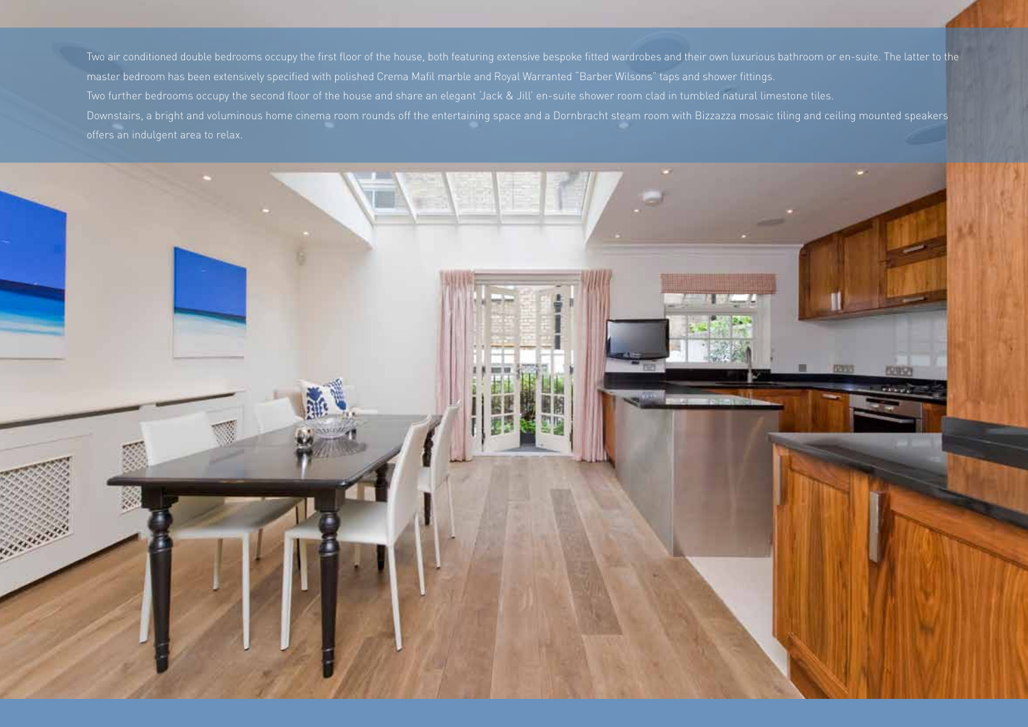Two air conditioned double bedrooms occupy the first floor of the house, both featuring extensive bespoke fitted wardrobes and their own luxurious bathroom or en-suite. The latter to the master bedroom has been extensively specified with polished Crema Mafil marble and Royal Warranted "Barber Wilsons" taps and shower fittings. Two further bedrooms occupy the second floor of the house and share an elegant 'Jack & Jill' en-suite shower room clad in tumbled natural limestone tiles. Downstairs, a bright and voluminous home cinema room rounds off the entertaining space and a Dornbracht steam room with Bizzazza mosaic tiling and ceiling mounted speakers